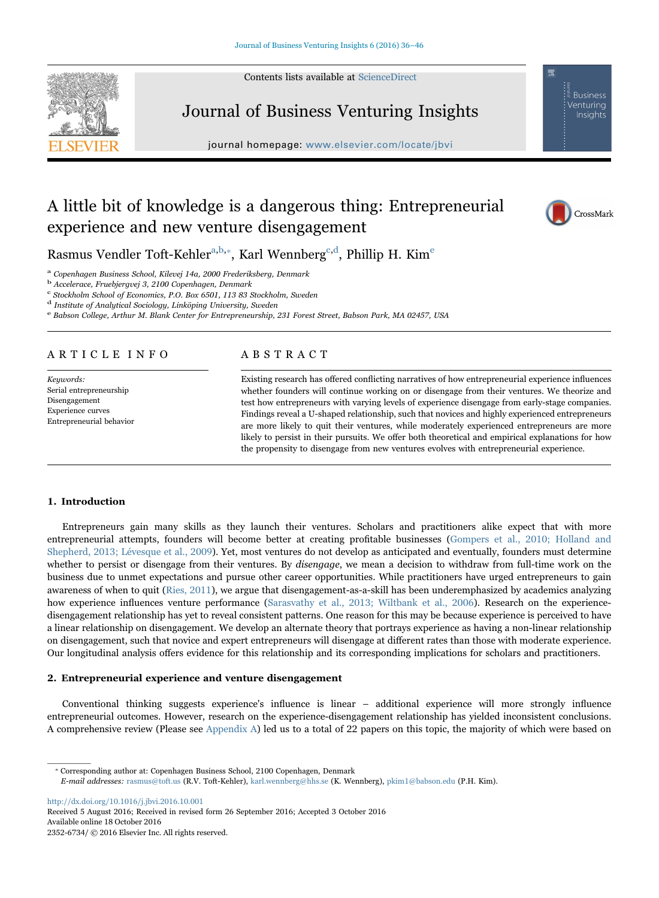Contents lists available at [ScienceDirect](http://www.sciencedirect.com/science/journal/23526734)



**Business** Venturina Insights



journal homepage: [www.elsevier.com/locate/jbvi](http://www.elsevier.com/locate/jbvi)

# A little bit of knowledge is a dangerous thing: Entrepreneurial experience and new venture disengagement



R[a](#page-0-0)smus Vendler Toft-Kehler<sup>a,[b,](#page-0-1)\*</sup>, Karl Wennberg<sup>[c](#page-0-3)[,d](#page-0-4)</sup>, Phillip H. Kim<sup>[e](#page-0-5)</sup>

<span id="page-0-0"></span><sup>a</sup> Copenhagen Business School, Kilevej 14a, 2000 Frederiksberg, Denmark

<span id="page-0-1"></span><sup>b</sup> Accelerace, Fruebjergvej 3, 2100 Copenhagen, Denmark

<span id="page-0-3"></span><sup>c</sup> Stockholm School of Economics, P.O. Box 6501, 113 83 Stockholm, Sweden <sup>d</sup> Institute of Analytical Sociology, Linköping University, Sweden

<span id="page-0-4"></span>

<span id="page-0-5"></span>e Babson College, Arthur M. Blank Center for Entrepreneurship, 231 Forest Street, Babson Park, MA 02457, USA

# ARTICLE INFO

Keywords: Serial entrepreneurship Disengagement Experience curves Entrepreneurial behavior

# ABSTRACT

Existing research has offered conflicting narratives of how entrepreneurial experience influences whether founders will continue working on or disengage from their ventures. We theorize and test how entrepreneurs with varying levels of experience disengage from early-stage companies. Findings reveal a U-shaped relationship, such that novices and highly experienced entrepreneurs are more likely to quit their ventures, while moderately experienced entrepreneurs are more likely to persist in their pursuits. We offer both theoretical and empirical explanations for how the propensity to disengage from new ventures evolves with entrepreneurial experience.

# 1. Introduction

Entrepreneurs gain many skills as they launch their ventures. Scholars and practitioners alike expect that with more entrepreneurial attempts, founders will become better at creating profitable businesses [\(Gompers et al., 2010; Holland and](#page-10-0) [Shepherd, 2013; Lévesque et al., 2009](#page-10-0)). Yet, most ventures do not develop as anticipated and eventually, founders must determine whether to persist or disengage from their ventures. By disengage, we mean a decision to withdraw from full-time work on the business due to unmet expectations and pursue other career opportunities. While practitioners have urged entrepreneurs to gain awareness of when to quit [\(Ries, 2011\)](#page-10-1), we argue that disengagement-as-a-skill has been underemphasized by academics analyzing how experience influences venture performance [\(Sarasvathy et al., 2013; Wiltbank et al., 2006\)](#page-10-2). Research on the experiencedisengagement relationship has yet to reveal consistent patterns. One reason for this may be because experience is perceived to have a linear relationship on disengagement. We develop an alternate theory that portrays experience as having a non-linear relationship on disengagement, such that novice and expert entrepreneurs will disengage at different rates than those with moderate experience. Our longitudinal analysis offers evidence for this relationship and its corresponding implications for scholars and practitioners.

## 2. Entrepreneurial experience and venture disengagement

Conventional thinking suggests experience's influence is linear – additional experience will more strongly influence entrepreneurial outcomes. However, research on the experience-disengagement relationship has yielded inconsistent conclusions. A comprehensive review (Please see [Appendix A](#page-6-0)) led us to a total of 22 papers on this topic, the majority of which were based on

<span id="page-0-2"></span>⁎ Corresponding author at: Copenhagen Business School, 2100 Copenhagen, Denmark

<http://dx.doi.org/10.1016/j.jbvi.2016.10.001>

Received 5 August 2016; Received in revised form 26 September 2016; Accepted 3 October 2016 2352-6734/ © 2016 Elsevier Inc. All rights reserved. Available online 18 October 2016

E-mail addresses: rasmus@toft.us (R.V. Toft-Kehler), karl.wennberg@hhs.se (K. Wennberg), pkim1@babson.edu (P.H. Kim).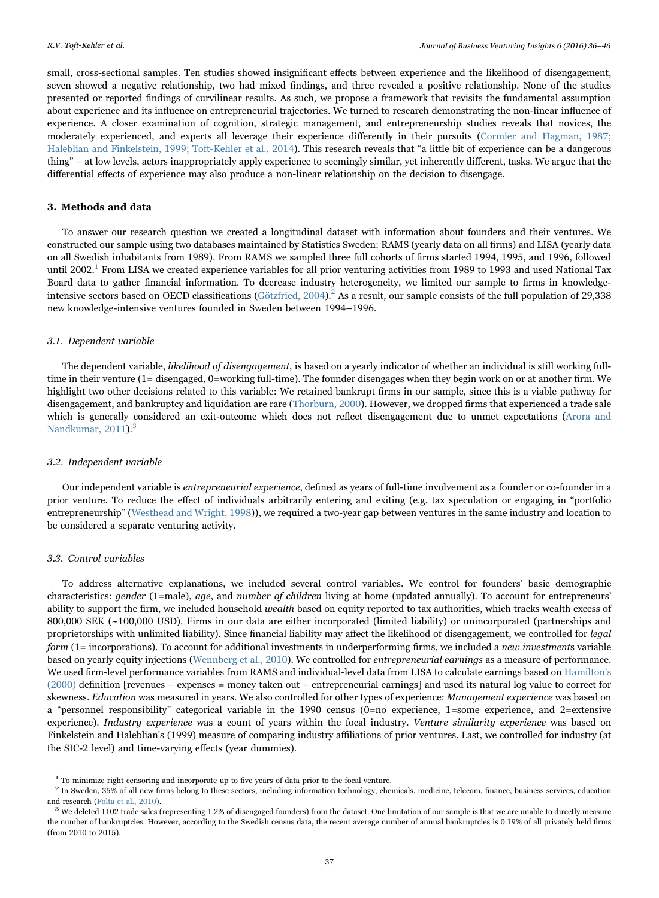small, cross-sectional samples. Ten studies showed insignificant effects between experience and the likelihood of disengagement, seven showed a negative relationship, two had mixed findings, and three revealed a positive relationship. None of the studies presented or reported findings of curvilinear results. As such, we propose a framework that revisits the fundamental assumption about experience and its influence on entrepreneurial trajectories. We turned to research demonstrating the non-linear influence of experience. A closer examination of cognition, strategic management, and entrepreneurship studies reveals that novices, the moderately experienced, and experts all leverage their experience differently in their pursuits [\(Cormier and Hagman, 1987;](#page-10-3) [Haleblian and Finkelstein, 1999; Toft-Kehler et al., 2014\)](#page-10-3). This research reveals that "a little bit of experience can be a dangerous thing" – at low levels, actors inappropriately apply experience to seemingly similar, yet inherently different, tasks. We argue that the differential effects of experience may also produce a non-linear relationship on the decision to disengage.

# 3. Methods and data

To answer our research question we created a longitudinal dataset with information about founders and their ventures. We constructed our sample using two databases maintained by Statistics Sweden: RAMS (yearly data on all firms) and LISA (yearly data on all Swedish inhabitants from 1989). From RAMS we sampled three full cohorts of firms started 1994, 1995, and 1996, followed until 2002.<sup>[1](#page-1-0)</sup> From LISA we created experience variables for all prior venturing activities from 1989 to 1993 and used National Tax Board data to gather financial information. To decrease industry heterogeneity, we limited our sample to firms in knowledge-intensive sectors based on OECD classifications [\(Götzfried, 2004\)](#page-10-4).<sup>[2](#page-1-1)</sup> As a result, our sample consists of the full population of 29,338 new knowledge-intensive ventures founded in Sweden between 1994–1996.

# 3.1. Dependent variable

The dependent variable, likelihood of disengagement, is based on a yearly indicator of whether an individual is still working fulltime in their venture (1= disengaged, 0=working full-time). The founder disengages when they begin work on or at another firm. We highlight two other decisions related to this variable: We retained bankrupt firms in our sample, since this is a viable pathway for disengagement, and bankruptcy and liquidation are rare ([Thorburn, 2000](#page-10-5)). However, we dropped firms that experienced a trade sale which is generally considered an exit-outcome which does not reflect disengagement due to unmet expectations ([Arora and](#page-10-6) [Nandkumar, 2011](#page-10-6)).<sup>[3](#page-1-2)</sup>

#### 3.2. Independent variable

Our independent variable is entrepreneurial experience, defined as years of full-time involvement as a founder or co-founder in a prior venture. To reduce the effect of individuals arbitrarily entering and exiting (e.g. tax speculation or engaging in "portfolio entrepreneurship" ([Westhead and Wright, 1998\)](#page-10-7)), we required a two-year gap between ventures in the same industry and location to be considered a separate venturing activity.

# 3.3. Control variables

To address alternative explanations, we included several control variables. We control for founders' basic demographic characteristics: gender (1=male), age, and number of children living at home (updated annually). To account for entrepreneurs' ability to support the firm, we included household wealth based on equity reported to tax authorities, which tracks wealth excess of 800,000 SEK (~100,000 USD). Firms in our data are either incorporated (limited liability) or unincorporated (partnerships and proprietorships with unlimited liability). Since financial liability may affect the likelihood of disengagement, we controlled for legal form (1= incorporations). To account for additional investments in underperforming firms, we included a new investments variable based on yearly equity injections [\(Wennberg et al., 2010](#page-10-8)). We controlled for entrepreneurial earnings as a measure of performance. We used firm-level performance variables from RAMS and individual-level data from LISA to calculate earnings based on [Hamilton's](#page-10-9) [\(2000\)](#page-10-9) definition [revenues – expenses = money taken out + entrepreneurial earnings] and used its natural log value to correct for skewness. Education was measured in years. We also controlled for other types of experience: Management experience was based on a "personnel responsibility" categorical variable in the 1990 census (0=no experience, 1=some experience, and 2=extensive experience). Industry experience was a count of years within the focal industry. Venture similarity experience was based on Finkelstein and Haleblian's (1999) measure of comparing industry affiliations of prior ventures. Last, we controlled for industry (at the SIC-2 level) and time-varying effects (year dummies).

<span id="page-1-1"></span>

<span id="page-1-0"></span> $^1$  To minimize right censoring and incorporate up to five years of data prior to the focal venture.<br> $^2$  In Sweden, 35% of all new firms belong to these sectors, including information technology, chemicals, medicine, te and research [\(Folta et al., 2010](#page-10-10)).<br><sup>3</sup> We deleted 1102 trade sales (representing 1.2% of disengaged founders) from the dataset. One limitation of our sample is that we are unable to directly measure

<span id="page-1-2"></span>the number of bankruptcies. However, according to the Swedish census data, the recent average number of annual bankruptcies is 0.19% of all privately held firms (from 2010 to 2015).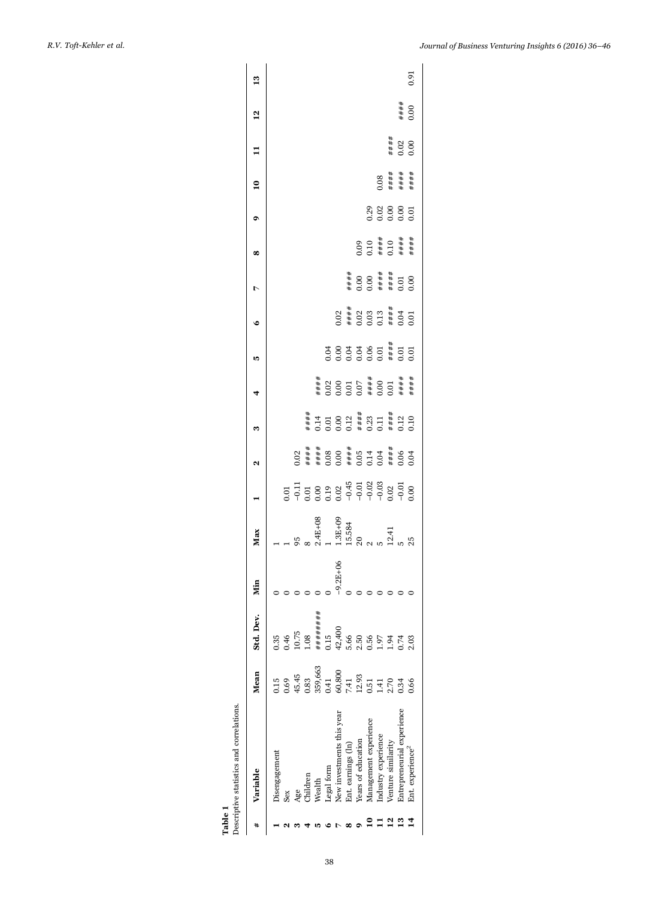<span id="page-2-0"></span>

| Table 1 | Descriptive statistics and correlations. |                                                                |                                  |              |                                                           |    |   |                                                   |    |                                                                                            |                                              |                                             |                           |                      |                         |               |
|---------|------------------------------------------|----------------------------------------------------------------|----------------------------------|--------------|-----------------------------------------------------------|----|---|---------------------------------------------------|----|--------------------------------------------------------------------------------------------|----------------------------------------------|---------------------------------------------|---------------------------|----------------------|-------------------------|---------------|
|         | Variable                                 | Mean                                                           | Std. Dev.                        | Min          | Max                                                       | ี่ | m |                                                   | Ľ. | ۰                                                                                          | r                                            | ∞                                           | $\mathbf{a}$              |                      | $\frac{2}{1}$           | $\frac{3}{2}$ |
|         | Disengagement                            | 15                                                             | 0.35                             |              |                                                           |    |   |                                                   |    |                                                                                            |                                              |                                             |                           |                      |                         |               |
|         | Sex                                      | 0.69                                                           | 0.46                             |              |                                                           |    |   |                                                   |    |                                                                                            |                                              |                                             |                           |                      |                         |               |
|         | yge                                      | 45.45<br>0.83                                                  | $\frac{10.75}{0.08}$             |              |                                                           |    |   |                                                   |    |                                                                                            |                                              |                                             |                           |                      |                         |               |
|         |                                          |                                                                |                                  |              |                                                           |    |   |                                                   |    |                                                                                            |                                              |                                             |                           |                      |                         |               |
|         | <b>Nealth</b>                            | 359,663                                                        | ########                         |              |                                                           |    |   |                                                   |    |                                                                                            |                                              |                                             |                           |                      |                         |               |
|         | egal form                                |                                                                | 0.15                             |              |                                                           |    |   |                                                   |    |                                                                                            |                                              |                                             |                           |                      |                         |               |
|         | New investments this year                |                                                                |                                  | $-9.2E + 06$ |                                                           |    |   |                                                   |    |                                                                                            |                                              |                                             |                           |                      |                         |               |
|         | Ent. earnings (ln)                       | $\begin{array}{c} 0.41 \\ 60,800 \\ 7.41 \\ 12.93 \end{array}$ | $42,400$<br>5.66<br>0.56<br>0.56 |              | 2.4E+08<br>1 1.3E+09<br>1.3E+09<br>20 20 1.41<br>2.5 25 5 |    |   | ###<br>00000#000####<br>00000#000###<br>#00000#00 |    | $0.02$<br>$* + 0.03$<br>$* + 0.03$<br>$* + 0.03$<br>$* + 0.04$<br>$* - 0.01$<br>$* - 0.01$ |                                              |                                             |                           |                      |                         |               |
|         | Years of education                       |                                                                |                                  |              |                                                           |    |   |                                                   |    |                                                                                            | ####<br>0.00<br>0.00<br>####<br>0.01<br>0.00 |                                             |                           |                      |                         |               |
|         | Management experience                    | 0.51                                                           |                                  |              |                                                           |    |   |                                                   |    |                                                                                            |                                              | $0.09$<br>0.10<br>####<br>0.10<br>######### |                           |                      |                         |               |
|         | Industry experience                      | 1.41                                                           | .97                              |              |                                                           |    |   |                                                   |    |                                                                                            |                                              |                                             |                           |                      |                         |               |
|         | Venture similarity                       | 2.70                                                           | 94                               |              |                                                           |    |   |                                                   |    |                                                                                            |                                              |                                             | $0.08$<br>#####<br>###### |                      |                         |               |
|         | Entrepreneurial experience               | 1.34                                                           |                                  |              |                                                           |    |   |                                                   |    |                                                                                            |                                              |                                             |                           | ####<br>0.02<br>0.00 | $+$ $+$ $+$ $+$<br>0.00 |               |
|         | Ent. experience <sup>2</sup>             | 0.66                                                           | 0.03                             |              |                                                           |    |   |                                                   |    |                                                                                            |                                              |                                             |                           |                      |                         | 0.91          |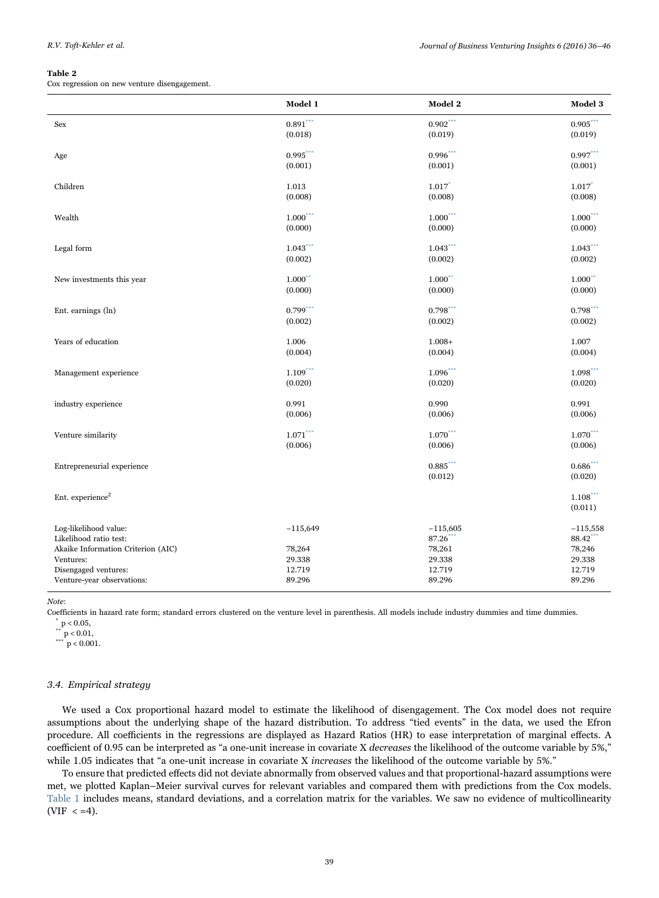#### <span id="page-3-0"></span>Table 2

Cox regression on new venture disengagement.

|                                                 | Model 1                | Model 2                | Model 3                |
|-------------------------------------------------|------------------------|------------------------|------------------------|
| Sex                                             | $0.891***$             | $0.902***$             | $0.905***$             |
|                                                 | (0.018)                | (0.019)                | (0.019)                |
| Age                                             | $0.995***$             | $0.996$ <sup>***</sup> | $0.997***$             |
|                                                 | (0.001)                | (0.001)                | (0.001)                |
| Children                                        | 1.013                  | 1.017                  | $1.017$ <sup>*</sup>   |
|                                                 | (0.008)                | (0.008)                | (0.008)                |
| Wealth                                          | 1.000                  | $1.000$ <sup>***</sup> | $1.000***$             |
|                                                 | (0.000)                | (0.000)                | (0.000)                |
| Legal form                                      | $1.043***$             | $1.043$ ***            | $1.043***$             |
|                                                 | (0.002)                | (0.002)                | (0.002)                |
| New investments this year                       | 1.000                  | $1.000$ **             | $1.000***$             |
|                                                 | (0.000)                | (0.000)                | (0.000)                |
| Ent. earnings (ln)                              | $0.799$ <sup>***</sup> | $0.798$ ***            | $0.798$ ***            |
|                                                 | (0.002)                | (0.002)                | (0.002)                |
| Years of education                              | 1.006                  | $1.008+$               | 1.007                  |
|                                                 | (0.004)                | (0.004)                | (0.004)                |
| Management experience                           | $1.109$ <sup>***</sup> | 1.096                  | 1.098                  |
|                                                 | (0.020)                | (0.020)                | (0.020)                |
| industry experience                             | 0.991                  | 0.990                  | 0.991                  |
|                                                 | (0.006)                | (0.006)                | (0.006)                |
| Venture similarity                              | $1.071***$             | $1.070***$             | $1.070***$             |
|                                                 | (0.006)                | (0.006)                | (0.006)                |
| Entrepreneurial experience                      |                        | $0.885$ ***            | $0.686$ <sup>***</sup> |
|                                                 |                        | (0.012)                | (0.020)                |
| Ent. experience <sup>2</sup>                    |                        |                        | $1.108***$             |
|                                                 |                        |                        | (0.011)                |
| Log-likelihood value:                           | $-115,649$             | $-115,605$             | $-115,558$             |
| Likelihood ratio test:                          |                        | 87.26<br>78,261        | 88.42<br>78,246        |
| Akaike Information Criterion (AIC)<br>Ventures: | 78,264<br>29.338       | 29.338                 | 29.338                 |
| Disengaged ventures:                            | 12.719                 | 12.719                 | 12.719                 |
| Venture-year observations:                      | 89.296                 | 89.296                 | 89.296                 |

Note:

Coefficients in hazard rate form; standard errors clustered on the venture level in parenthesis. All models include industry dummies and time dummies.  $_{**}$  p < 0.05,

 $*$   $p < 0.01$ ,

 $*$  $p < 0.001$ .

# 3.4. Empirical strategy

We used a Cox proportional hazard model to estimate the likelihood of disengagement. The Cox model does not require assumptions about the underlying shape of the hazard distribution. To address "tied events" in the data, we used the Efron procedure. All coefficients in the regressions are displayed as Hazard Ratios (HR) to ease interpretation of marginal effects. A coefficient of 0.95 can be interpreted as "a one-unit increase in covariate X decreases the likelihood of the outcome variable by 5%," while 1.05 indicates that "a one-unit increase in covariate X increases the likelihood of the outcome variable by 5%."

To ensure that predicted effects did not deviate abnormally from observed values and that proportional-hazard assumptions were met, we plotted Kaplan–Meier survival curves for relevant variables and compared them with predictions from the Cox models. [Table 1](#page-2-0) includes means, standard deviations, and a correlation matrix for the variables. We saw no evidence of multicollinearity (VIF  $< =4$ ).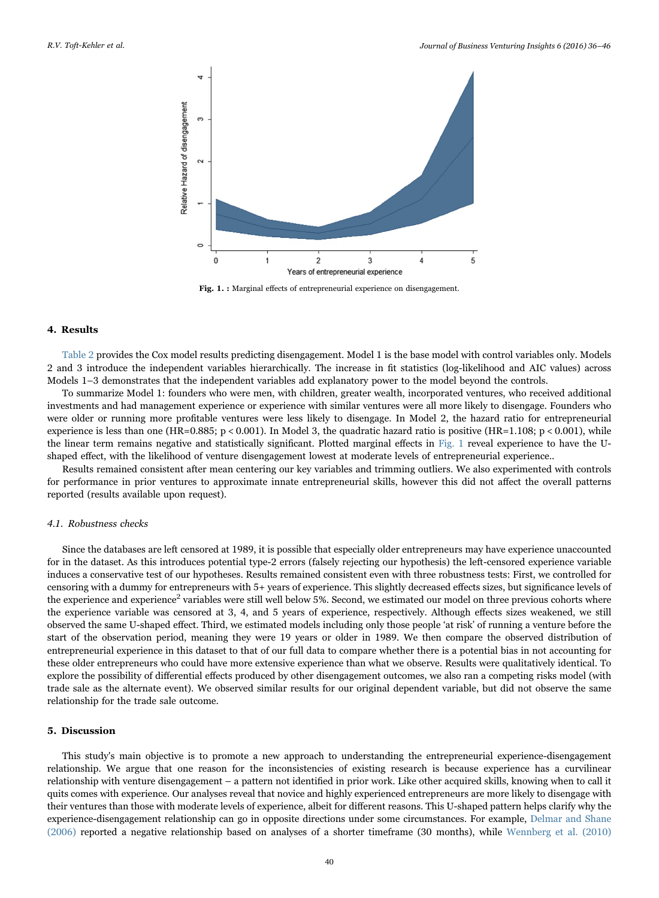<span id="page-4-0"></span>

Fig. 1. : Marginal effects of entrepreneurial experience on disengagement.

#### 4. Results

[Table 2](#page-3-0) provides the Cox model results predicting disengagement. Model 1 is the base model with control variables only. Models 2 and 3 introduce the independent variables hierarchically. The increase in fit statistics (log-likelihood and AIC values) across Models 1–3 demonstrates that the independent variables add explanatory power to the model beyond the controls.

To summarize Model 1: founders who were men, with children, greater wealth, incorporated ventures, who received additional investments and had management experience or experience with similar ventures were all more likely to disengage. Founders who were older or running more profitable ventures were less likely to disengage. In Model 2, the hazard ratio for entrepreneurial experience is less than one (HR=0.885; p < 0.001). In Model 3, the quadratic hazard ratio is positive (HR=1.108; p < 0.001), while the linear term remains negative and statistically significant. Plotted marginal effects in [Fig. 1](#page-4-0) reveal experience to have the Ushaped effect, with the likelihood of venture disengagement lowest at moderate levels of entrepreneurial experience..

Results remained consistent after mean centering our key variables and trimming outliers. We also experimented with controls for performance in prior ventures to approximate innate entrepreneurial skills, however this did not affect the overall patterns reported (results available upon request).

# 4.1. Robustness checks

Since the databases are left censored at 1989, it is possible that especially older entrepreneurs may have experience unaccounted for in the dataset. As this introduces potential type-2 errors (falsely rejecting our hypothesis) the left-censored experience variable induces a conservative test of our hypotheses. Results remained consistent even with three robustness tests: First, we controlled for censoring with a dummy for entrepreneurs with 5+ years of experience. This slightly decreased effects sizes, but significance levels of the experience and experience<sup>2</sup> variables were still well below 5%. Second, we estimated our model on three previous cohorts where the experience variable was censored at 3, 4, and 5 years of experience, respectively. Although effects sizes weakened, we still observed the same U-shaped effect. Third, we estimated models including only those people 'at risk' of running a venture before the start of the observation period, meaning they were 19 years or older in 1989. We then compare the observed distribution of entrepreneurial experience in this dataset to that of our full data to compare whether there is a potential bias in not accounting for these older entrepreneurs who could have more extensive experience than what we observe. Results were qualitatively identical. To explore the possibility of differential effects produced by other disengagement outcomes, we also ran a competing risks model (with trade sale as the alternate event). We observed similar results for our original dependent variable, but did not observe the same relationship for the trade sale outcome.

# 5. Discussion

This study's main objective is to promote a new approach to understanding the entrepreneurial experience-disengagement relationship. We argue that one reason for the inconsistencies of existing research is because experience has a curvilinear relationship with venture disengagement – a pattern not identified in prior work. Like other acquired skills, knowing when to call it quits comes with experience. Our analyses reveal that novice and highly experienced entrepreneurs are more likely to disengage with their ventures than those with moderate levels of experience, albeit for different reasons. This U-shaped pattern helps clarify why the experience-disengagement relationship can go in opposite directions under some circumstances. For example, [Delmar and Shane](#page-10-11) [\(2006\)](#page-10-11) reported a negative relationship based on analyses of a shorter timeframe (30 months), while [Wennberg et al. \(2010\)](#page-10-8)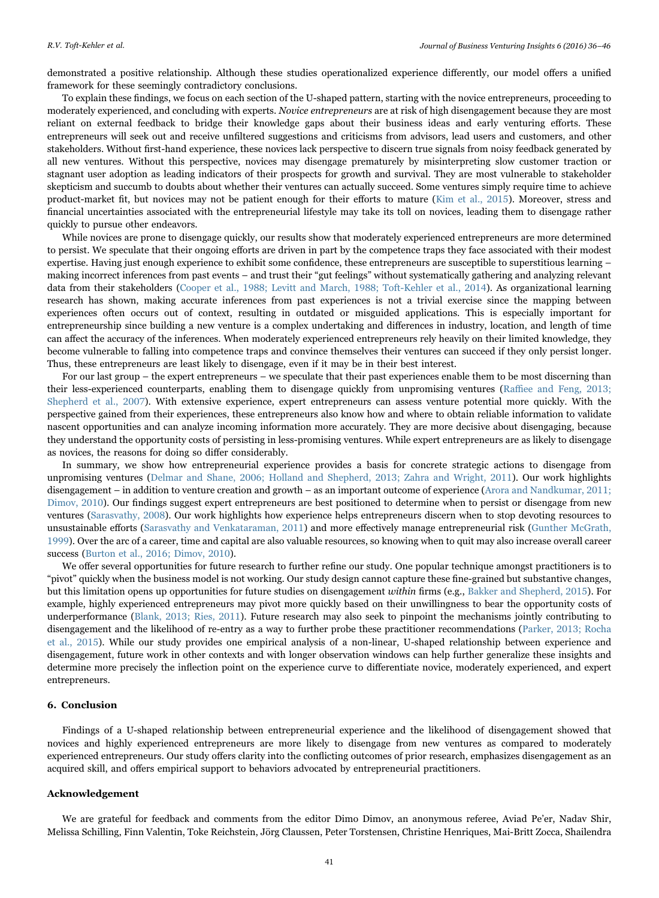demonstrated a positive relationship. Although these studies operationalized experience differently, our model offers a unified framework for these seemingly contradictory conclusions.

To explain these findings, we focus on each section of the U-shaped pattern, starting with the novice entrepreneurs, proceeding to moderately experienced, and concluding with experts. Novice entrepreneurs are at risk of high disengagement because they are most reliant on external feedback to bridge their knowledge gaps about their business ideas and early venturing efforts. These entrepreneurs will seek out and receive unfiltered suggestions and criticisms from advisors, lead users and customers, and other stakeholders. Without first-hand experience, these novices lack perspective to discern true signals from noisy feedback generated by all new ventures. Without this perspective, novices may disengage prematurely by misinterpreting slow customer traction or stagnant user adoption as leading indicators of their prospects for growth and survival. They are most vulnerable to stakeholder skepticism and succumb to doubts about whether their ventures can actually succeed. Some ventures simply require time to achieve product-market fit, but novices may not be patient enough for their efforts to mature [\(Kim et al., 2015](#page-10-12)). Moreover, stress and financial uncertainties associated with the entrepreneurial lifestyle may take its toll on novices, leading them to disengage rather quickly to pursue other endeavors.

While novices are prone to disengage quickly, our results show that moderately experienced entrepreneurs are more determined to persist. We speculate that their ongoing efforts are driven in part by the competence traps they face associated with their modest expertise. Having just enough experience to exhibit some confidence, these entrepreneurs are susceptible to superstitious learning – making incorrect inferences from past events – and trust their "gut feelings" without systematically gathering and analyzing relevant data from their stakeholders ([Cooper et al., 1988; Levitt and March, 1988; Toft-Kehler et al., 2014\)](#page-10-13). As organizational learning research has shown, making accurate inferences from past experiences is not a trivial exercise since the mapping between experiences often occurs out of context, resulting in outdated or misguided applications. This is especially important for entrepreneurship since building a new venture is a complex undertaking and differences in industry, location, and length of time can affect the accuracy of the inferences. When moderately experienced entrepreneurs rely heavily on their limited knowledge, they become vulnerable to falling into competence traps and convince themselves their ventures can succeed if they only persist longer. Thus, these entrepreneurs are least likely to disengage, even if it may be in their best interest.

For our last group – the expert entrepreneurs – we speculate that their past experiences enable them to be most discerning than their less-experienced counterparts, enabling them to disengage quickly from unpromising ventures (Raffi[ee and Feng, 2013;](#page-10-14) [Shepherd et al., 2007\)](#page-10-14). With extensive experience, expert entrepreneurs can assess venture potential more quickly. With the perspective gained from their experiences, these entrepreneurs also know how and where to obtain reliable information to validate nascent opportunities and can analyze incoming information more accurately. They are more decisive about disengaging, because they understand the opportunity costs of persisting in less-promising ventures. While expert entrepreneurs are as likely to disengage as novices, the reasons for doing so differ considerably.

In summary, we show how entrepreneurial experience provides a basis for concrete strategic actions to disengage from unpromising ventures [\(Delmar and Shane, 2006; Holland and Shepherd, 2013; Zahra and Wright, 2011](#page-10-11)). Our work highlights disengagement – in addition to venture creation and growth – as an important outcome of experience ([Arora and Nandkumar, 2011;](#page-10-6) [Dimov, 2010](#page-10-6)). Our findings suggest expert entrepreneurs are best positioned to determine when to persist or disengage from new ventures [\(Sarasvathy, 2008](#page-10-15)). Our work highlights how experience helps entrepreneurs discern when to stop devoting resources to unsustainable efforts [\(Sarasvathy and Venkataraman, 2011](#page-10-16)) and more effectively manage entrepreneurial risk [\(Gunther McGrath,](#page-10-17) [1999\)](#page-10-17). Over the arc of a career, time and capital are also valuable resources, so knowing when to quit may also increase overall career success ([Burton et al., 2016; Dimov, 2010](#page-10-18)).

We offer several opportunities for future research to further refine our study. One popular technique amongst practitioners is to "pivot" quickly when the business model is not working. Our study design cannot capture these fine-grained but substantive changes, but this limitation opens up opportunities for future studies on disengagement within firms (e.g., [Bakker and Shepherd, 2015](#page-10-19)). For example, highly experienced entrepreneurs may pivot more quickly based on their unwillingness to bear the opportunity costs of underperformance [\(Blank, 2013; Ries, 2011\)](#page-10-20). Future research may also seek to pinpoint the mechanisms jointly contributing to disengagement and the likelihood of re-entry as a way to further probe these practitioner recommendations ([Parker, 2013; Rocha](#page-10-21) [et al., 2015](#page-10-21)). While our study provides one empirical analysis of a non-linear, U-shaped relationship between experience and disengagement, future work in other contexts and with longer observation windows can help further generalize these insights and determine more precisely the inflection point on the experience curve to differentiate novice, moderately experienced, and expert entrepreneurs.

## 6. Conclusion

Findings of a U-shaped relationship between entrepreneurial experience and the likelihood of disengagement showed that novices and highly experienced entrepreneurs are more likely to disengage from new ventures as compared to moderately experienced entrepreneurs. Our study offers clarity into the conflicting outcomes of prior research, emphasizes disengagement as an acquired skill, and offers empirical support to behaviors advocated by entrepreneurial practitioners.

## Acknowledgement

We are grateful for feedback and comments from the editor Dimo Dimov, an anonymous referee, Aviad Pe'er, Nadav Shir, Melissa Schilling, Finn Valentin, Toke Reichstein, Jörg Claussen, Peter Torstensen, Christine Henriques, Mai-Britt Zocca, Shailendra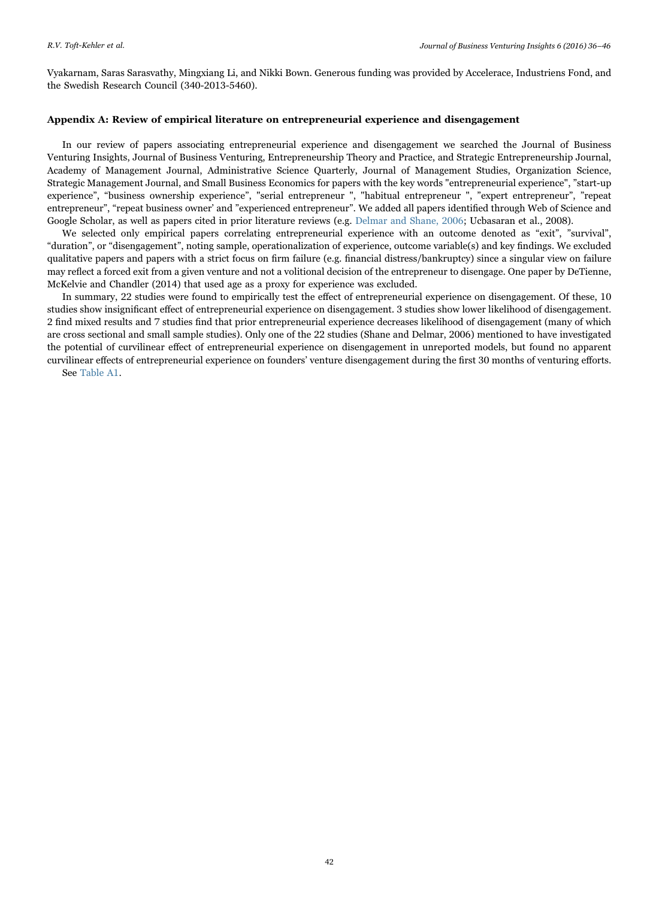Vyakarnam, Saras Sarasvathy, Mingxiang Li, and Nikki Bown. Generous funding was provided by Accelerace, Industriens Fond, and the Swedish Research Council (340-2013-5460).

# <span id="page-6-0"></span>Appendix A: Review of empirical literature on entrepreneurial experience and disengagement

In our review of papers associating entrepreneurial experience and disengagement we searched the Journal of Business Venturing Insights, Journal of Business Venturing, Entrepreneurship Theory and Practice, and Strategic Entrepreneurship Journal, Academy of Management Journal, Administrative Science Quarterly, Journal of Management Studies, Organization Science, Strategic Management Journal, and Small Business Economics for papers with the key words "entrepreneurial experience", "start-up experience", "business ownership experience", "serial entrepreneur ", "habitual entrepreneur ", "expert entrepreneur", "repeat entrepreneur", "repeat business owner' and "experienced entrepreneur". We added all papers identified through Web of Science and Google Scholar, as well as papers cited in prior literature reviews (e.g. [Delmar and Shane, 2006](#page-10-11); Ucbasaran et al., 2008).

We selected only empirical papers correlating entrepreneurial experience with an outcome denoted as "exit", "survival" "duration", or "disengagement", noting sample, operationalization of experience, outcome variable(s) and key findings. We excluded qualitative papers and papers with a strict focus on firm failure (e.g. financial distress/bankruptcy) since a singular view on failure may reflect a forced exit from a given venture and not a volitional decision of the entrepreneur to disengage. One paper by DeTienne, McKelvie and Chandler (2014) that used age as a proxy for experience was excluded.

In summary, 22 studies were found to empirically test the effect of entrepreneurial experience on disengagement. Of these, 10 studies show insignificant effect of entrepreneurial experience on disengagement. 3 studies show lower likelihood of disengagement. 2 find mixed results and 7 studies find that prior entrepreneurial experience decreases likelihood of disengagement (many of which are cross sectional and small sample studies). Only one of the 22 studies (Shane and Delmar, 2006) mentioned to have investigated the potential of curvilinear effect of entrepreneurial experience on disengagement in unreported models, but found no apparent curvilinear effects of entrepreneurial experience on founders' venture disengagement during the first 30 months of venturing efforts. See [Table A1](#page-7-0).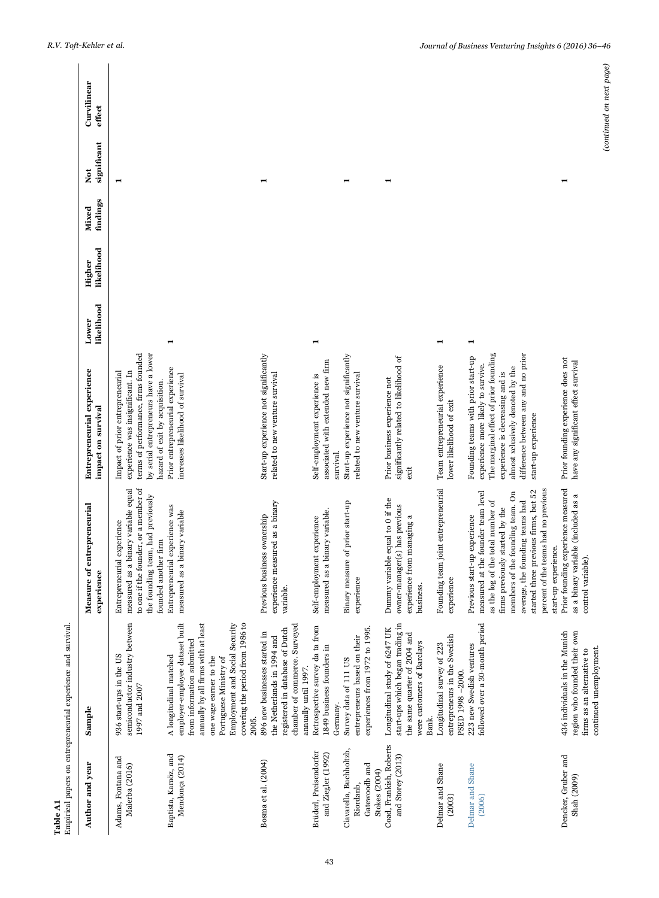<span id="page-7-0"></span>

| Table A1                                                                      | Empirical papers on entrepreneurial experience and survival.                                                                                                                                                                                                      |                                                                                                                                                                                                                                                                                                                           |                                                                                                                                                                                                                                                        |                     |                      |                   |                  |                          |  |
|-------------------------------------------------------------------------------|-------------------------------------------------------------------------------------------------------------------------------------------------------------------------------------------------------------------------------------------------------------------|---------------------------------------------------------------------------------------------------------------------------------------------------------------------------------------------------------------------------------------------------------------------------------------------------------------------------|--------------------------------------------------------------------------------------------------------------------------------------------------------------------------------------------------------------------------------------------------------|---------------------|----------------------|-------------------|------------------|--------------------------|--|
| Author and year                                                               | Sample                                                                                                                                                                                                                                                            | Measure of entrepreneurial<br>experience                                                                                                                                                                                                                                                                                  | Entrepreneurial experience<br>impact on survival                                                                                                                                                                                                       | likelihood<br>Lower | likelihood<br>Higher | findings<br>Mixed | significant<br>ă | Curvilinear<br>effect    |  |
| Adams, Fontana and<br>Malerba (2016)                                          | semiconductor industry between<br>936 start-ups in the US<br>1997 and 2007                                                                                                                                                                                        | to one if the founder, or a member of<br>measured as a binary variable equal<br>the founding team, had previously<br>Entrepreneurial experience<br>founded another firm                                                                                                                                                   | by serial entrepreneurs have a lower<br>terms of performance, firms founded<br>Impact of prior entrepreneurial<br>experience was insignificant. In<br>hazard of exit by acquisition.                                                                   |                     |                      |                   |                  |                          |  |
| Baptista, Karaöz, and<br>Mendonça (2014)                                      | employer-employee dataset built<br>annually by all firms with at least<br>Employment and Social Security<br>covering the period from 1986 to<br>from information submitted<br>A longitudinal matched<br>one wage earner to the<br>Portuguese Ministry of<br>2005. | Entrepreneurial experience was<br>measured as a binary variable                                                                                                                                                                                                                                                           | Prior entrepreneurial experience<br>increases likelihood of survival                                                                                                                                                                                   |                     |                      |                   |                  |                          |  |
| Bosma et al. (2004)                                                           | chamber of commerce. Surveyed<br>registered in database of Dutch<br>896 new businesses started in<br>the Netherlands in 1994 and<br>annually until 1997.                                                                                                          | experience measured as a binary<br>Previous business ownership<br>variable.                                                                                                                                                                                                                                               | Start-up experience not significantly<br>related to new venture survival                                                                                                                                                                               |                     |                      |                   |                  |                          |  |
| Brüderl, Preisendorfer<br>and Ziegler (1992)                                  | Retrospective survey da ta from<br>1849 business founders in<br>Germany.                                                                                                                                                                                          | measured as a binary variable.<br>Self-employment experience                                                                                                                                                                                                                                                              | associated with extended new firm<br>Self-employment experience is<br>survival.                                                                                                                                                                        |                     |                      |                   |                  |                          |  |
| Ciavarella, Buchholtzb,<br>Gatewoodb and<br><b>Stokes</b> (2004)<br>Riordanb, | experiences from 1972 to 1995.<br>entrepreneurs based on their<br>Survey data of 111 US                                                                                                                                                                           | Binary measure of prior start-up<br>experience                                                                                                                                                                                                                                                                            | Start-up experience not significantly<br>related to new venture survival                                                                                                                                                                               |                     |                      |                   |                  |                          |  |
| Coad, Frankish, Roberts<br>and Storey (2013)                                  | start-ups which began trading in<br>Longitudinal study of 6247 UK<br>the same quarter of 2004 and<br>were customers of Barclays<br>Bank.                                                                                                                          | Dummy variable equal to 0 if the<br>owner-manager(s) has previous<br>experience from managing a<br>business.                                                                                                                                                                                                              | significantly related to likelihood of<br>Prior business experience not<br>exit                                                                                                                                                                        |                     |                      |                   |                  |                          |  |
| Delmar and Shane<br>(2003)                                                    | entrepreneurs in the Swedish<br>Longitudinal survey of 223<br>PSED 1998-2000.                                                                                                                                                                                     | Founding team joint entrepreneurial<br>experience                                                                                                                                                                                                                                                                         | Team entrepreneurial experience<br>lower likelihood of exit                                                                                                                                                                                            | −                   |                      |                   |                  |                          |  |
| Delmar and Shane<br>(2006)                                                    | followed over a 30-month period<br>223 new Swedish ventures                                                                                                                                                                                                       | percent of the teams had no previous<br>started three previous firms, but 52<br>members of the founding team. On<br>measured at the founder team level<br>average, the founding teams had<br>as the log of the total number of<br>firms previously started by the<br>Previous start-up experience<br>start-up experience. | The marginal effect of prior founding<br>difference between any and no prior<br>Founding teams with prior start-up<br>experience more likely to survive.<br>almost xclusively denoted by the<br>experience is decreasing and is<br>start-up experience |                     |                      |                   |                  |                          |  |
| Dencker, Gruber and<br>Shah (2009)                                            | region who founded their own<br>436 individuals in the Munich<br>continued unemployment.<br>firms as an alternative to                                                                                                                                            | Prior founding experience measured<br>as a binary variable (included as a<br>control variable).                                                                                                                                                                                                                           | Prior founding experience does not<br>have any significant effect survival                                                                                                                                                                             |                     |                      |                   |                  | (continued on next page) |  |
|                                                                               |                                                                                                                                                                                                                                                                   |                                                                                                                                                                                                                                                                                                                           |                                                                                                                                                                                                                                                        |                     |                      |                   |                  |                          |  |

43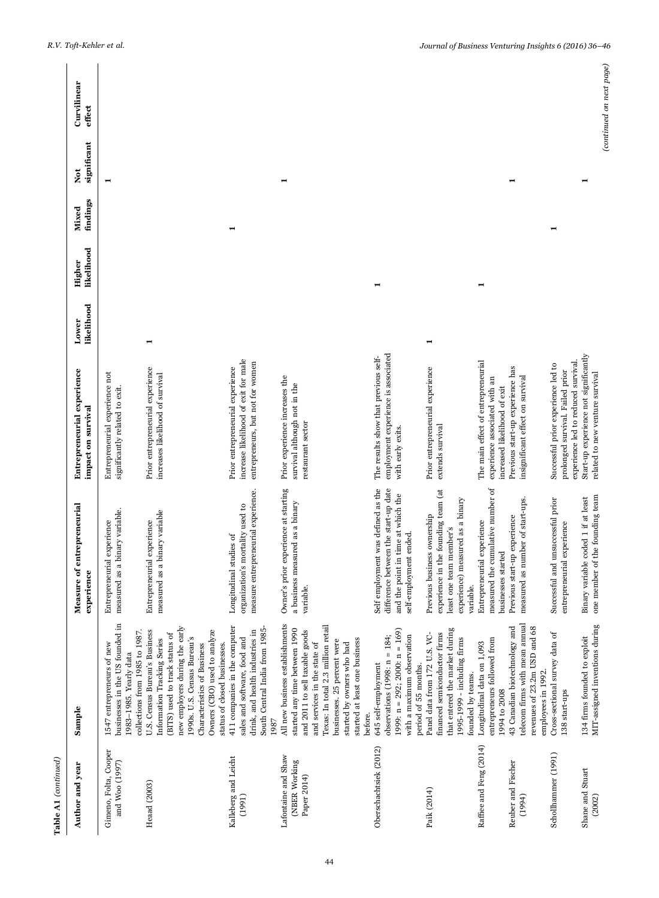| Table A1 (continued)                                |                                                                                                                                                                                                                                                                                  |                                                                                                                                                |                                                                                                               |                     |                      |                   |                    |                          |  |
|-----------------------------------------------------|----------------------------------------------------------------------------------------------------------------------------------------------------------------------------------------------------------------------------------------------------------------------------------|------------------------------------------------------------------------------------------------------------------------------------------------|---------------------------------------------------------------------------------------------------------------|---------------------|----------------------|-------------------|--------------------|--------------------------|--|
| Author and year                                     | Sample                                                                                                                                                                                                                                                                           | Measure of entrepreneurial<br>experience                                                                                                       | Entrepreneurial experience<br>impact on survival                                                              | likelihood<br>Lower | likelihood<br>Higher | findings<br>Mixed | significant<br>Xot | Curvilinear<br>effect    |  |
| Gimeno, Folta, Cooper<br>and Woo (1997)             | pusinesses in the US founded in<br>collections from 1985 to 1987<br>1547 entrepreneurs of new<br>1983-1985. Yearly data                                                                                                                                                          | measured as a binary variable.<br>Entrepreneurial experience                                                                                   | Entrepreneurial experience not<br>significantly related to exit.                                              |                     |                      |                   |                    |                          |  |
| Heaad (2003)                                        | new employers during the early<br>U.S. Census Bureau's Business<br>Owners (CBO) used to analyze<br>(BITS) used to track status of<br>1990s. U.S. Census Bureau's<br>Information Tracking Series<br>status of closed businesses.<br>Characteristics of Business                   | measured as a binary variable<br>Entrepreneurial experience                                                                                    | Prior entrepreneurial experience<br>increases likelihood of survival                                          | -                   |                      |                   |                    |                          |  |
| Kalleberg and Leicht<br>(1991)                      | 411 companies in the computer<br>South Central India from 1985-<br>drink, and health industries in<br>sales and software, food and<br>1987                                                                                                                                       | measure entrepreneurial experience.<br>organization's mortality used to<br>Longitudinal studies of                                             | increase likelihood of exit for male<br>entrepreneurs, but not for women<br>Prior entrepreneurial experience  |                     |                      |                   |                    |                          |  |
| Lafontaine and Shaw<br>(NBER Working<br>Paper 2014) | All new business establishments<br>Texas: In total 2.3 million retail<br>started any time between 1990<br>and 2011 to sell taxable goods<br>started at least one business<br>businesses. 25 percent were<br>and services in the state of<br>started by owners who had<br>before. | Owner's prior experience at starting<br>a business measured as a binary<br>variable.                                                           | Prior experience increases the<br>survival although not in the<br>restaurant sector                           |                     |                      |                   |                    |                          |  |
| Oberschachtsiek (2012)                              | 1999: $n = 292$ ; 2000: $n = 169$ )<br>observations $(1998: n = 184;$<br>with a maximum observation<br>645 self-employment<br>period of 55 months.                                                                                                                               | Self employment was defined as the<br>difference between the start-up date<br>and the point in time at which the<br>self-employment ended.     | employment experience is associated<br>The results show that previous self-<br>with early exits.              |                     | $\blacksquare$       |                   |                    |                          |  |
| Paik (2014)                                         | that entered the market during<br>financed semiconductor firms<br>Panel data from 172 U.S. VC-<br>1995-1999 - including firms<br>founded by teams.                                                                                                                               | experience in the founding team (at<br>experience) measured as a binary<br>Previous business ownership<br>least one team member's<br>variable. | Prior entrepreneurial experience<br>extends survival                                                          | ⊣                   |                      |                   |                    |                          |  |
| Raffiee and Feng (2014)                             | entrepreneurs followed from<br>Longitudinal data on 1,093<br>1994 to 2008                                                                                                                                                                                                        | measured the cumulative number of<br>Entrepreneurial experience<br>businesses started                                                          | The main effect of entrepreneurial<br>experience associated with an<br>increased likelihood of exit           |                     |                      |                   |                    |                          |  |
| Reuber and Fischer<br>(1994)                        | telecom firms with mean annual<br>revenues of 23.2m USD and 68<br>43 Canadian biotechnology and<br>employees in 1992.                                                                                                                                                            | measured as number of start-ups.<br>Previous start-up experience                                                                               | Previous start-up experience has<br>insignificant effect on survival                                          |                     |                      |                   |                    |                          |  |
| Schollhammer (1991)                                 | Cross-sectional survey data of<br>138 start-ups                                                                                                                                                                                                                                  | Successful and unsuccessful prior<br>entrepreneurial experience                                                                                | experience led to reduced survival.<br>Successful prior experience led to<br>prolonged survival. Failed prior |                     |                      |                   |                    |                          |  |
| Shane and Stuart<br>(2002)                          | MIT-assigned inventions during<br>$134~\mathrm{frms}$ founded to exploit                                                                                                                                                                                                         | one member of the founding team<br>variable coded 1 if at least<br>Binary                                                                      | Start-up experience not significantly<br>related to new venture survival                                      |                     |                      |                   |                    | (continued on next page) |  |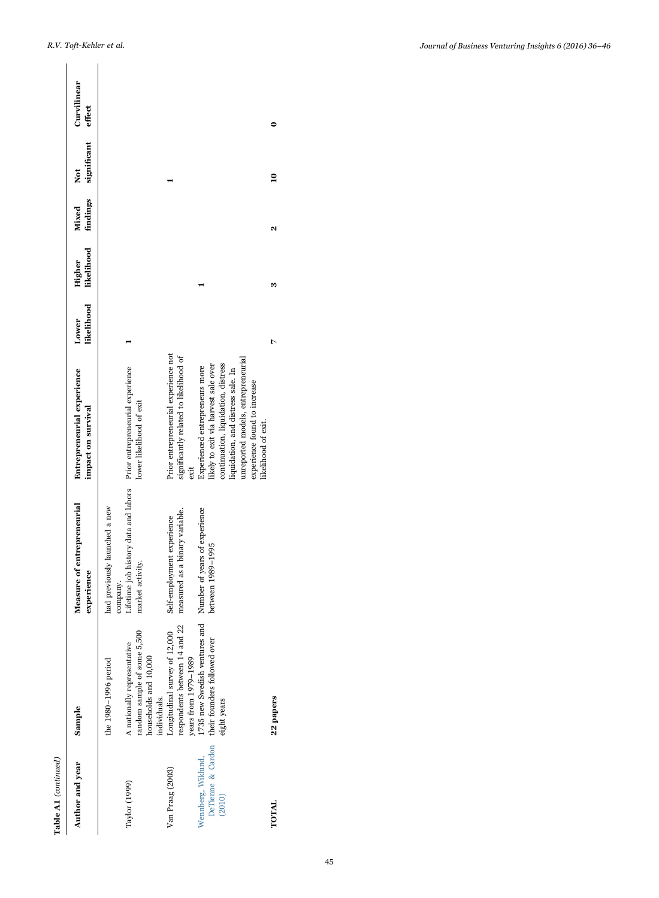| ξ                  |
|--------------------|
|                    |
|                    |
| ۲                  |
|                    |
| $\frac{1}{2}$<br>ì |

| Table A1 (continued)                              |                                                                                                                             |                                                                                                       |                                                                                                                                                                                                                                                  |                     |                      |       |                           |                       |
|---------------------------------------------------|-----------------------------------------------------------------------------------------------------------------------------|-------------------------------------------------------------------------------------------------------|--------------------------------------------------------------------------------------------------------------------------------------------------------------------------------------------------------------------------------------------------|---------------------|----------------------|-------|---------------------------|-----------------------|
| Author and year                                   | Sample                                                                                                                      | Measure of entrepreneurial<br>experience                                                              | Entrepreneurial experience<br>impact on survival                                                                                                                                                                                                 | likelihood<br>Lower | likelihood<br>Higher | Mixed | findings significant<br>ž | Curvilinear<br>effect |
| Taylor (1999)                                     | random sample of some 5,500<br>A nationally representative<br>households and 10,000<br>the 1980-1996 period<br>individuals. | Lifetime job history data and labors<br>had previously launched a new<br>market activity.<br>company. | Prior entrepreneurial experience<br>lower likelihood of exit                                                                                                                                                                                     |                     |                      |       |                           |                       |
| Van Praag (2003)                                  | respondents between 14 and 22<br>Longitudinal survey of 12,000<br>years from 1979-1989                                      | measured as a binary variable.<br>Self-employment experience                                          | Prior entrepreneurial experience not<br>significantly related to likelihood of<br>exit                                                                                                                                                           |                     |                      |       |                           |                       |
| DeTienne & Cardon<br>Wennberg, Wiklund,<br>(2010) | 1735 new Swedish ventures and<br>their founders followed over<br>eight years                                                | Number of years of experience<br>between 1989-1995                                                    | unreported models, entrepreneurial<br>continuation, liquidation, distress<br>likely to exit via harvest sale over<br>Experienced entrepreneurs more<br>liquidation, and distress sale. In<br>experience found to increase<br>likelihood of exit. |                     |                      |       |                           |                       |
| TOTAL                                             | 22 papers                                                                                                                   |                                                                                                       |                                                                                                                                                                                                                                                  |                     |                      |       | $\mathbf{a}$              |                       |